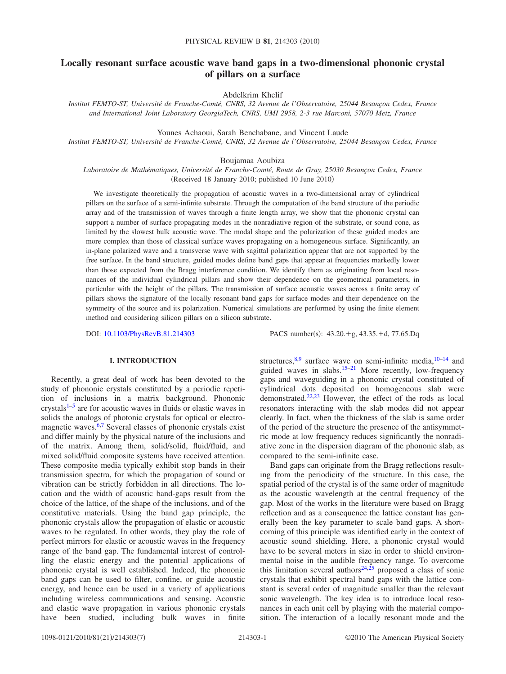# **Locally resonant surface acoustic wave band gaps in a two-dimensional phononic crystal of pillars on a surface**

Abdelkrim Khelif

*Institut FEMTO-ST, Université de Franche-Comté, CNRS, 32 Avenue de l'Observatoire, 25044 Besançon Cedex, France and International Joint Laboratory GeorgiaTech, CNRS, UMI 2958, 2-3 rue Marconi, 57070 Metz, France*

Younes Achaoui, Sarah Benchabane, and Vincent Laude

*Institut FEMTO-ST, Université de Franche-Comté, CNRS, 32 Avenue de l'Observatoire, 25044 Besançon Cedex, France*

Boujamaa Aoubiza

*Laboratoire de Mathématiques, Université de Franche-Comté, Route de Gray, 25030 Besançon Cedex, France* (Received 18 January 2010; published 10 June 2010)

We investigate theoretically the propagation of acoustic waves in a two-dimensional array of cylindrical pillars on the surface of a semi-infinite substrate. Through the computation of the band structure of the periodic array and of the transmission of waves through a finite length array, we show that the phononic crystal can support a number of surface propagating modes in the nonradiative region of the substrate, or sound cone, as limited by the slowest bulk acoustic wave. The modal shape and the polarization of these guided modes are more complex than those of classical surface waves propagating on a homogeneous surface. Significantly, an in-plane polarized wave and a transverse wave with sagittal polarization appear that are not supported by the free surface. In the band structure, guided modes define band gaps that appear at frequencies markedly lower than those expected from the Bragg interference condition. We identify them as originating from local resonances of the individual cylindrical pillars and show their dependence on the geometrical parameters, in particular with the height of the pillars. The transmission of surface acoustic waves across a finite array of pillars shows the signature of the locally resonant band gaps for surface modes and their dependence on the symmetry of the source and its polarization. Numerical simulations are performed by using the finite element method and considering silicon pillars on a silicon substrate.

DOI: [10.1103/PhysRevB.81.214303](http://dx.doi.org/10.1103/PhysRevB.81.214303)

PACS number(s):  $43.20.+g$ ,  $43.35.+d$ ,  $77.65.Dq$ 

## **I. INTRODUCTION**

Recently, a great deal of work has been devoted to the study of phononic crystals constituted by a periodic repetition of inclusions in a matrix background. Phononic crystals $1-5$  are for acoustic waves in fluids or elastic waves in solids the analogs of photonic crystals for optical or electromagnetic waves. $6,7$  $6,7$  Several classes of phononic crystals exist and differ mainly by the physical nature of the inclusions and of the matrix. Among them, solid/solid, fluid/fluid, and mixed solid/fluid composite systems have received attention. These composite media typically exhibit stop bands in their transmission spectra, for which the propagation of sound or vibration can be strictly forbidden in all directions. The location and the width of acoustic band-gaps result from the choice of the lattice, of the shape of the inclusions, and of the constitutive materials. Using the band gap principle, the phononic crystals allow the propagation of elastic or acoustic waves to be regulated. In other words, they play the role of perfect mirrors for elastic or acoustic waves in the frequency range of the band gap. The fundamental interest of controlling the elastic energy and the potential applications of phononic crystal is well established. Indeed, the phononic band gaps can be used to filter, confine, or guide acoustic energy, and hence can be used in a variety of applications including wireless communications and sensing. Acoustic and elastic wave propagation in various phononic crystals have been studied, including bulk waves in finite

structures, $8,9$  $8,9$  surface wave on semi-infinite media,  $10-14$  $10-14$  and guided waves in slabs. $15-21$  $15-21$  More recently, low-frequency gaps and waveguiding in a phononic crystal constituted of cylindrical dots deposited on homogeneous slab were demonstrated[.22](#page-6-3)[,23](#page-6-4) However, the effect of the rods as local resonators interacting with the slab modes did not appear clearly. In fact, when the thickness of the slab is same order of the period of the structure the presence of the antisymmetric mode at low frequency reduces significantly the nonradiative zone in the dispersion diagram of the phononic slab, as compared to the semi-infinite case.

Band gaps can originate from the Bragg reflections resulting from the periodicity of the structure. In this case, the spatial period of the crystal is of the same order of magnitude as the acoustic wavelength at the central frequency of the gap. Most of the works in the literature were based on Bragg reflection and as a consequence the lattice constant has generally been the key parameter to scale band gaps. A shortcoming of this principle was identified early in the context of acoustic sound shielding. Here, a phononic crystal would have to be several meters in size in order to shield environmental noise in the audible frequency range. To overcome this limitation several authors<sup>24[,25](#page-6-6)</sup> proposed a class of sonic crystals that exhibit spectral band gaps with the lattice constant is several order of magnitude smaller than the relevant sonic wavelength. The key idea is to introduce local resonances in each unit cell by playing with the material composition. The interaction of a locally resonant mode and the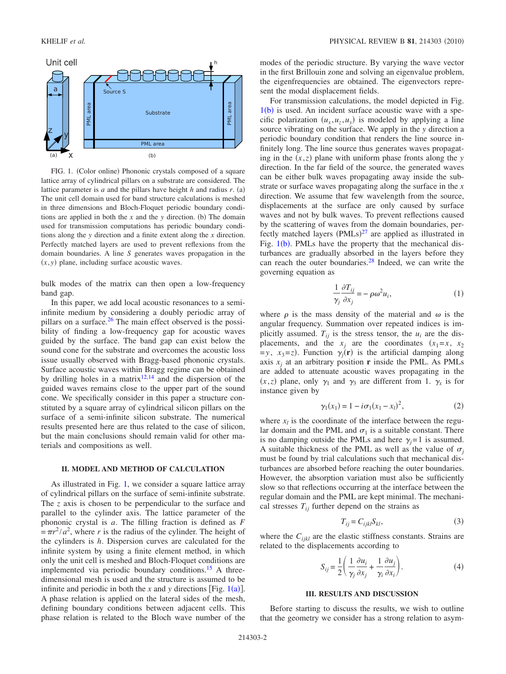<span id="page-1-0"></span>

FIG. 1. (Color online) Phononic crystals composed of a square lattice array of cylindrical pillars on a substrate are considered. The lattice parameter is  $a$  and the pillars have height  $h$  and radius  $r$ . (a) The unit cell domain used for band structure calculations is meshed in three dimensions and Bloch-Floquet periodic boundary conditions are applied in both the  $x$  and the  $y$  direction. (b) The domain used for transmission computations has periodic boundary conditions along the *y* direction and a finite extent along the *x* direction. Perfectly matched layers are used to prevent reflexions from the domain boundaries. A line *S* generates waves propagation in the  $(x, y)$  plane, including surface acoustic waves.

bulk modes of the matrix can then open a low-frequency band gap.

In this paper, we add local acoustic resonances to a semiinfinite medium by considering a doubly periodic array of pillars on a surface. $26$  The main effect observed is the possibility of finding a low-frequency gap for acoustic waves guided by the surface. The band gap can exist below the sound cone for the substrate and overcomes the acoustic loss issue usually observed with Bragg-based phononic crystals. Surface acoustic waves within Bragg regime can be obtained by drilling holes in a matrix<sup>12[,14](#page-6-0)</sup> and the dispersion of the guided waves remains close to the upper part of the sound cone. We specifically consider in this paper a structure constituted by a square array of cylindrical silicon pillars on the surface of a semi-infinite silicon substrate. The numerical results presented here are thus related to the case of silicon, but the main conclusions should remain valid for other materials and compositions as well.

#### **II. MODEL AND METHOD OF CALCULATION**

<span id="page-1-1"></span>As illustrated in Fig. [1,](#page-1-0) we consider a square lattice array of cylindrical pillars on the surface of semi-infinite substrate. The *z* axis is chosen to be perpendicular to the surface and parallel to the cylinder axis. The lattice parameter of the phononic crystal is *a*. The filling fraction is defined as *F*  $=\pi r^2/a^2$ , where *r* is the radius of the cylinder. The height of the cylinders is *h*. Dispersion curves are calculated for the infinite system by using a finite element method, in which only the unit cell is meshed and Bloch-Floquet conditions are implemented via periodic boundary conditions[.15](#page-6-1) A threedimensional mesh is used and the structure is assumed to be infinite and periodic in both the *x* and *y* directions [Fig.  $1(a)$  $1(a)$ ]. A phase relation is applied on the lateral sides of the mesh, defining boundary conditions between adjacent cells. This phase relation is related to the Bloch wave number of the modes of the periodic structure. By varying the wave vector in the first Brillouin zone and solving an eigenvalue problem, the eigenfrequencies are obtained. The eigenvectors represent the modal displacement fields.

For transmission calculations, the model depicted in Fig.  $1(b)$  $1(b)$  is used. An incident surface acoustic wave with a specific polarization  $(u_x, u_z, u_y)$  is modeled by applying a line source vibrating on the surface. We apply in the *y* direction a periodic boundary condition that renders the line source infinitely long. The line source thus generates waves propagating in the  $(x, z)$  plane with uniform phase fronts along the *y* direction. In the far field of the source, the generated waves can be either bulk waves propagating away inside the substrate or surface waves propagating along the surface in the *x* direction. We assume that few wavelength from the source, displacements at the surface are only caused by surface waves and not by bulk waves. To prevent reflections caused by the scattering of waves from the domain boundaries, perfectly matched layers  $(PMLs)^{27}$  $(PMLs)^{27}$  $(PMLs)^{27}$  are applied as illustrated in Fig.  $1(b)$  $1(b)$ . PMLs have the property that the mechanical disturbances are gradually absorbed in the layers before they can reach the outer boundaries[.28](#page-6-9) Indeed, we can write the governing equation as

$$
\frac{1}{\gamma_j} \frac{\partial T_{ij}}{\partial x_j} = -\rho \omega^2 u_i,\tag{1}
$$

where  $\rho$  is the mass density of the material and  $\omega$  is the angular frequency. Summation over repeated indices is implicitly assumed.  $T_{ij}$  is the stress tensor, the  $u_i$  are the displacements, and the  $x_i$  are the coordinates  $(x_1=x, x_2)$  $=y$ ,  $x_3=z$ ). Function  $\gamma_j(\mathbf{r})$  is the artificial damping along axis  $x_i$  at an arbitrary position **r** inside the PML. As PMLs are added to attenuate acoustic waves propagating in the  $(x, z)$  plane, only  $\gamma_1$  and  $\gamma_3$  are different from 1.  $\gamma_x$  is for instance given by

$$
\gamma_1(x_1) = 1 - i\sigma_1(x_1 - x_1)^2, \tag{2}
$$

where  $x_l$  is the coordinate of the interface between the regular domain and the PML and  $\sigma_1$  is a suitable constant. There is no damping outside the PMLs and here  $\gamma_i = 1$  is assumed. A suitable thickness of the PML as well as the value of  $\sigma_i$ must be found by trial calculations such that mechanical disturbances are absorbed before reaching the outer boundaries. However, the absorption variation must also be sufficiently slow so that reflections occurring at the interface between the regular domain and the PML are kept minimal. The mechanical stresses  $T_{ii}$  further depend on the strains as

$$
T_{ij} = C_{ijkl} S_{kl},\tag{3}
$$

where the *C<sub>ijkl</sub>* are the elastic stiffness constants. Strains are related to the displacements according to

$$
S_{ij} = \frac{1}{2} \left( \frac{1}{\gamma_j} \frac{\partial u_i}{\partial x_j} + \frac{1}{\gamma_i} \frac{\partial u_j}{\partial x_i} \right). \tag{4}
$$

#### **III. RESULTS AND DISCUSSION**

Before starting to discuss the results, we wish to outline that the geometry we consider has a strong relation to asym-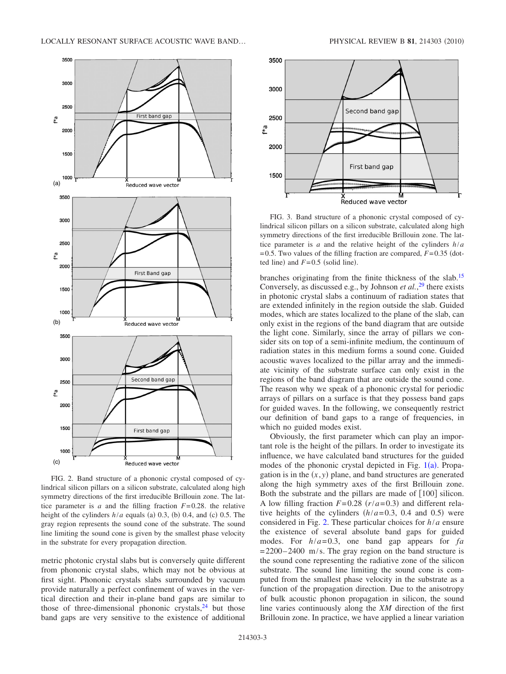<span id="page-2-0"></span>

FIG. 2. Band structure of a phononic crystal composed of cylindrical silicon pillars on a silicon substrate, calculated along high symmetry directions of the first irreducible Brillouin zone. The lattice parameter is  $a$  and the filling fraction  $F=0.28$ . the relative height of the cylinders  $h/a$  equals (a) 0.3, (b) 0.4, and (c) 0.5. The gray region represents the sound cone of the substrate. The sound line limiting the sound cone is given by the smallest phase velocity in the substrate for every propagation direction.

metric photonic crystal slabs but is conversely quite different from phononic crystal slabs, which may not be obvious at first sight. Phononic crystals slabs surrounded by vacuum provide naturally a perfect confinement of waves in the vertical direction and their in-plane band gaps are similar to those of three-dimensional phononic crystals,  $24$  but those band gaps are very sensitive to the existence of additional

<span id="page-2-1"></span>![](_page_2_Figure_4.jpeg)

![](_page_2_Figure_5.jpeg)

f\*a

FIG. 3. Band structure of a phononic crystal composed of cylindrical silicon pillars on a silicon substrate, calculated along high symmetry directions of the first irreducible Brillouin zone. The lattice parameter is *a* and the relative height of the cylinders *h*/*a*  $= 0.5$ . Two values of the filling fraction are compared,  $F = 0.35$  (dotted line) and  $F = 0.5$  (solid line).

branches originating from the finite thickness of the slab[.15](#page-6-1) Conversely, as discussed e.g., by Johnson *et al.*, [29](#page-6-10) there exists in photonic crystal slabs a continuum of radiation states that are extended infinitely in the region outside the slab. Guided modes, which are states localized to the plane of the slab, can only exist in the regions of the band diagram that are outside the light cone. Similarly, since the array of pillars we consider sits on top of a semi-infinite medium, the continuum of radiation states in this medium forms a sound cone. Guided acoustic waves localized to the pillar array and the immediate vicinity of the substrate surface can only exist in the regions of the band diagram that are outside the sound cone. The reason why we speak of a phononic crystal for periodic arrays of pillars on a surface is that they possess band gaps for guided waves. In the following, we consequently restrict our definition of band gaps to a range of frequencies, in which no guided modes exist.

Obviously, the first parameter which can play an important role is the height of the pillars. In order to investigate its influence, we have calculated band structures for the guided modes of the phononic crystal depicted in Fig.  $1(a)$  $1(a)$ . Propagation is in the  $(x, y)$  plane, and band structures are generated along the high symmetry axes of the first Brillouin zone. Both the substrate and the pillars are made of  $[100]$  silicon. A low filling fraction  $F=0.28$   $(r/a=0.3)$  and different relative heights of the cylinders  $(h/a=0.3, 0.4$  and 0.5) were considered in Fig. [2.](#page-2-0) These particular choices for *h*/*a* ensure the existence of several absolute band gaps for guided modes. For  $h/a = 0.3$ , one band gap appears for *fa*  $= 2200 - 2400$  m/s. The gray region on the band structure is the sound cone representing the radiative zone of the silicon substrate. The sound line limiting the sound cone is computed from the smallest phase velocity in the substrate as a function of the propagation direction. Due to the anisotropy of bulk acoustic phonon propagation in silicon, the sound line varies continuously along the *XM* direction of the first Brillouin zone. In practice, we have applied a linear variation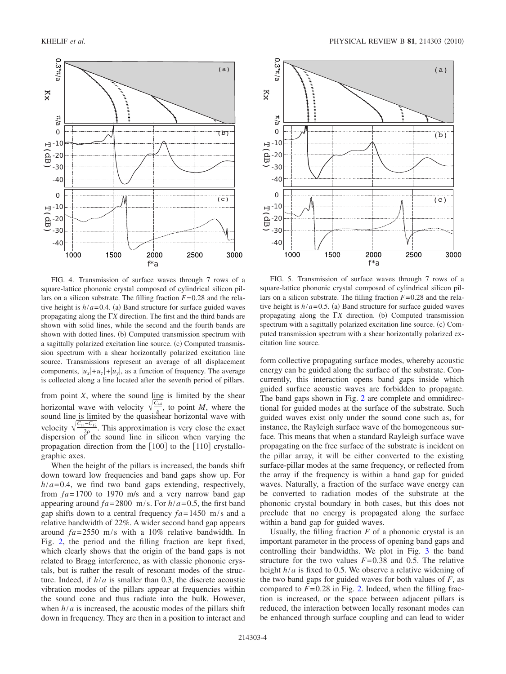<span id="page-3-0"></span>![](_page_3_Figure_1.jpeg)

FIG. 4. Transmission of surface waves through 7 rows of a square-lattice phononic crystal composed of cylindrical silicon pillars on a silicon substrate. The filling fraction  $F=0.28$  and the relative height is  $h/a = 0.4$ . (a) Band structure for surface guided waves propagating along the  $\Gamma X$  direction. The first and the third bands are shown with solid lines, while the second and the fourth bands are shown with dotted lines. (b) Computed transmission spectrum with a sagittally polarized excitation line source. (c) Computed transmission spectrum with a shear horizontally polarized excitation line source. Transmissions represent an average of all displacement components,  $|u_x| + |u_y| + |u_y|$ , as a function of frequency. The average is collected along a line located after the seventh period of pillars.

from point *X*, where the sound line is limited by the shear horizontal wave with velocity  $\sqrt{\frac{C_{44}}{\rho}}$ , to point *M*, where the sound line is limited by the quasishear horizontal wave with velocity  $\sqrt{\frac{C_{11}-C_{12}}{2\rho}}$ . This approximation is very close the exact dispersion of the sound line in silicon when varying the propagation direction from the  $[100]$  to the  $[110]$  crystallographic axes.

When the height of the pillars is increased, the bands shift down toward low frequencies and band gaps show up. For  $h/a = 0.4$ , we find two band gaps extending, respectively, from *fa*= 1700 to 1970 m/s and a very narrow band gap appearing around *fa*= 2800 m/s. For *h*/*a*= 0.5, the first band gap shifts down to a central frequency *fa*= 1450 m/s and a relative bandwidth of 22%. A wider second band gap appears around *fa*= 2550 m/s with a 10% relative bandwidth. In Fig. [2,](#page-2-0) the period and the filling fraction are kept fixed, which clearly shows that the origin of the band gaps is not related to Bragg interference, as with classic phononic crystals, but is rather the result of resonant modes of the structure. Indeed, if *h*/*a* is smaller than 0.3, the discrete acoustic vibration modes of the pillars appear at frequencies within the sound cone and thus radiate into the bulk. However, when  $h/a$  is increased, the acoustic modes of the pillars shift down in frequency. They are then in a position to interact and

<span id="page-3-1"></span>![](_page_3_Figure_6.jpeg)

FIG. 5. Transmission of surface waves through 7 rows of a square-lattice phononic crystal composed of cylindrical silicon pillars on a silicon substrate. The filling fraction  $F=0.28$  and the relative height is  $h/a = 0.5$ . (a) Band structure for surface guided waves propagating along the  $\Gamma X$  direction. (b) Computed transmission spectrum with a sagittally polarized excitation line source. (c) Computed transmission spectrum with a shear horizontally polarized excitation line source.

form collective propagating surface modes, whereby acoustic energy can be guided along the surface of the substrate. Concurrently, this interaction opens band gaps inside which guided surface acoustic waves are forbidden to propagate. The band gaps shown in Fig. [2](#page-2-0) are complete and omnidirectional for guided modes at the surface of the substrate. Such guided waves exist only under the sound cone such as, for instance, the Rayleigh surface wave of the homogeneous surface. This means that when a standard Rayleigh surface wave propagating on the free surface of the substrate is incident on the pillar array, it will be either converted to the existing surface-pillar modes at the same frequency, or reflected from the array if the frequency is within a band gap for guided waves. Naturally, a fraction of the surface wave energy can be converted to radiation modes of the substrate at the phononic crystal boundary in both cases, but this does not preclude that no energy is propagated along the surface within a band gap for guided waves.

Usually, the filling fraction *F* of a phononic crystal is an important parameter in the process of opening band gaps and controlling their bandwidths. We plot in Fig. [3](#page-2-1) the band structure for the two values  $F=0.38$  and 0.5. The relative height *h*/*a* is fixed to 0.5. We observe a relative widening of the two band gaps for guided waves for both values of *F*, as compared to  $F = 0.28$  in Fig. [2.](#page-2-0) Indeed, when the filling fraction is increased, or the space between adjacent pillars is reduced, the interaction between locally resonant modes can be enhanced through surface coupling and can lead to wider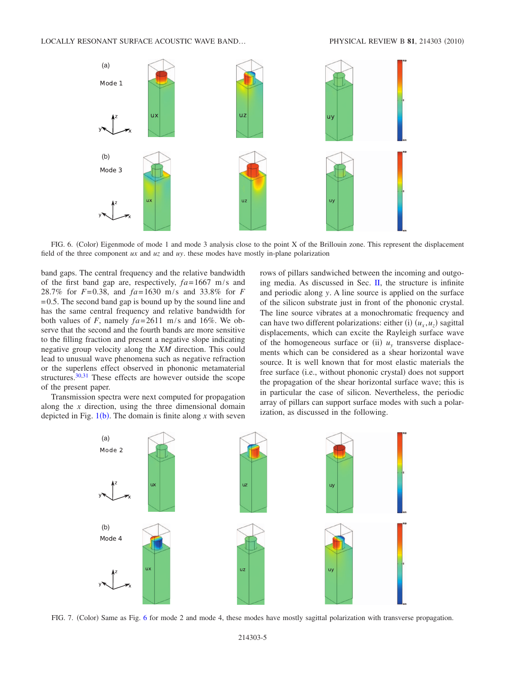<span id="page-4-0"></span>![](_page_4_Figure_2.jpeg)

FIG. 6. (Color) Eigenmode of mode 1 and mode 3 analysis close to the point X of the Brillouin zone. This represent the displacement field of the three component *ux* and *uz* and *uy*. these modes have mostly in-plane polarization

band gaps. The central frequency and the relative bandwidth of the first band gap are, respectively,  $fa = 1667$  m/s and 28.7% for *F*= 0.38, and *fa*= 1630 m/s and 33.8% for *F* = 0.5. The second band gap is bound up by the sound line and has the same central frequency and relative bandwidth for both values of  $F$ , namely  $fa = 2611$  m/s and 16%. We observe that the second and the fourth bands are more sensitive to the filling fraction and present a negative slope indicating negative group velocity along the *XM* direction. This could lead to unusual wave phenomena such as negative refraction or the superlens effect observed in phononic metamaterial structures.<sup>30,[31](#page-6-12)</sup> These effects are however outside the scope of the present paper.

<span id="page-4-1"></span>Transmission spectra were next computed for propagation along the *x* direction, using the three dimensional domain depicted in Fig.  $1(b)$  $1(b)$  $1(b)$ . The domain is finite along *x* with seven

rows of pillars sandwiched between the incoming and outgoing media. As discussed in Sec. [II,](#page-1-1) the structure is infinite and periodic along *y*. A line source is applied on the surface of the silicon substrate just in front of the phononic crystal. The line source vibrates at a monochromatic frequency and can have two different polarizations: either (i)  $(u_x, u_z)$  sagittal displacements, which can excite the Rayleigh surface wave of the homogeneous surface or (ii)  $u_y$  transverse displacements which can be considered as a shear horizontal wave source. It is well known that for most elastic materials the free surface (i.e., without phononic crystal) does not support the propagation of the shear horizontal surface wave; this is in particular the case of silicon. Nevertheless, the periodic array of pillars can support surface modes with such a polarization, as discussed in the following.

![](_page_4_Figure_7.jpeg)

FIG. 7. (Color) Same as Fig. [6](#page-4-0) for mode 2 and mode 4, these modes have mostly sagittal polarization with transverse propagation.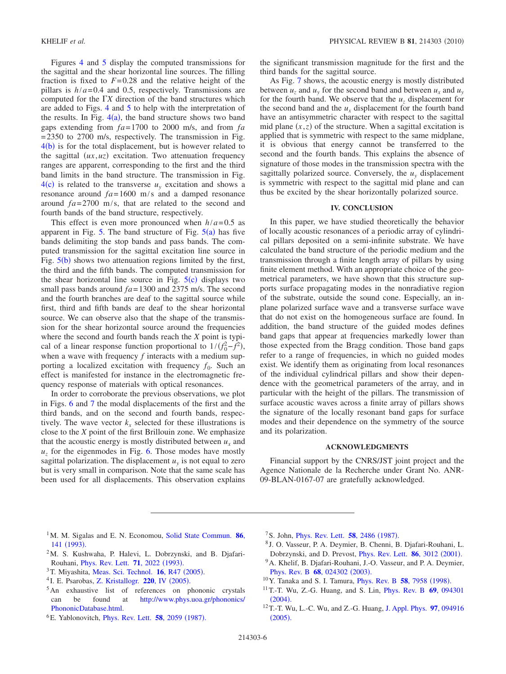Figures [4](#page-3-0) and [5](#page-3-1) display the computed transmissions for the sagittal and the shear horizontal line sources. The filling fraction is fixed to  $F=0.28$  and the relative height of the pillars is  $h/a = 0.4$  and 0.5, respectively. Transmissions are computed for the *X* direction of the band structures which are added to Figs. [4](#page-3-0) and [5](#page-3-1) to help with the interpretation of the results. In Fig.  $4(a)$  $4(a)$ , the band structure shows two band gaps extending from *fa*= 1700 to 2000 m/s, and from *fa* = 2350 to 2700 m/s, respectively. The transmission in Fig.  $4(b)$  $4(b)$  is for the total displacement, but is however related to the sagittal  $(ux, uz)$  excitation. Two attenuation frequency ranges are apparent, corresponding to the first and the third band limits in the band structure. The transmission in Fig.  $4(c)$  $4(c)$  is related to the transverse  $u_y$  excitation and shows a resonance around *fa*= 1600 m/s and a damped resonance around *fa*= 2700 m/s, that are related to the second and fourth bands of the band structure, respectively.

This effect is even more pronounced when  $h/a = 0.5$  as apparent in Fig. [5.](#page-3-1) The band structure of Fig.  $5(a)$  $5(a)$  has five bands delimiting the stop bands and pass bands. The computed transmission for the sagittal excitation line source in Fig.  $5(b)$  $5(b)$  shows two attenuation regions limited by the first, the third and the fifth bands. The computed transmission for the shear horizontal line source in Fig.  $5(c)$  $5(c)$  displays two small pass bands around *fa*= 1300 and 2375 m/s. The second and the fourth branches are deaf to the sagittal source while first, third and fifth bands are deaf to the shear horizontal source. We can observe also that the shape of the transmission for the shear horizontal source around the frequencies where the second and fourth bands reach the *X* point is typical of a linear response function proportional to  $1/(f_0^2 - f^2)$ , when a wave with frequency *f* interacts with a medium supporting a localized excitation with frequency  $f_0$ . Such an effect is manifested for instance in the electromagnetic frequency response of materials with optical resonances.

In order to corroborate the previous observations, we plot in Figs. [6](#page-4-0) and [7](#page-4-1) the modal displacements of the first and the third bands, and on the second and fourth bands, respectively. The wave vector  $k_x$  selected for these illustrations is close to the *X* point of the first Brillouin zone. We emphasize that the acoustic energy is mostly distributed between  $u_x$  and  $u<sub>z</sub>$  for the eigenmodes in Fig. [6.](#page-4-0) Those modes have mostly sagittal polarization. The displacement  $u<sub>v</sub>$  is not equal to zero but is very small in comparison. Note that the same scale has been used for all displacements. This observation explains the significant transmission magnitude for the first and the third bands for the sagittal source.

As Fig. [7](#page-4-1) shows, the acoustic energy is mostly distributed between  $u_z$  and  $u_y$  for the second band and between  $u_x$  and  $u_y$ for the fourth band. We observe that the  $u<sub>z</sub>$  displacement for the second band and the  $u_x$  displacement for the fourth band have an antisymmetric character with respect to the sagittal mid plane  $(x, z)$  of the structure. When a sagittal excitation is applied that is symmetric with respect to the same midplane, it is obvious that energy cannot be transferred to the second and the fourth bands. This explains the absence of signature of those modes in the transmission spectra with the sagittally polarized source. Conversely, the  $u<sub>v</sub>$  displacement is symmetric with respect to the sagittal mid plane and can thus be excited by the shear horizontally polarized source.

## **IV. CONCLUSION**

In this paper, we have studied theoretically the behavior of locally acoustic resonances of a periodic array of cylindrical pillars deposited on a semi-infinite substrate. We have calculated the band structure of the periodic medium and the transmission through a finite length array of pillars by using finite element method. With an appropriate choice of the geometrical parameters, we have shown that this structure supports surface propagating modes in the nonradiative region of the substrate, outside the sound cone. Especially, an inplane polarized surface wave and a transverse surface wave that do not exist on the homogeneous surface are found. In addition, the band structure of the guided modes defines band gaps that appear at frequencies markedly lower than those expected from the Bragg condition. Those band gaps refer to a range of frequencies, in which no guided modes exist. We identify them as originating from local resonances of the individual cylindrical pillars and show their dependence with the geometrical parameters of the array, and in particular with the height of the pillars. The transmission of surface acoustic waves across a finite array of pillars shows the signature of the locally resonant band gaps for surface modes and their dependence on the symmetry of the source and its polarization.

### **ACKNOWLEDGMENTS**

Financial support by the CNRS/JST joint project and the Agence Nationale de la Recherche under Grant No. ANR-09-BLAN-0167-07 are gratefully acknowledged.

- <span id="page-5-0"></span><sup>1</sup>M. M. Sigalas and E. N. Economou, [Solid State Commun.](http://dx.doi.org/10.1016/0038-1098(93)90888-T) 86, 141 ([1993](http://dx.doi.org/10.1016/0038-1098(93)90888-T)).
- <sup>2</sup>M. S. Kushwaha, P. Halevi, L. Dobrzynski, and B. Djafari-Rouhani, *[Phys. Rev. Lett.](http://dx.doi.org/10.1103/PhysRevLett.71.2022)* **71**, 2022 (1993).
- <sup>3</sup>T. Miyashita, [Meas. Sci. Technol.](http://dx.doi.org/10.1088/0957-0233/16/5/R01) **16**, R47 (2005).
- <sup>4</sup> I. E. Psarobas, [Z. Kristallogr.](http://dx.doi.org/10.1524/zkri.2005.220.9-10.IV) **220**, IV (2005).
- <span id="page-5-1"></span><sup>5</sup>An exhaustive list of references on phononic crystals can be found at [http://www.phys.uoa.gr/phononics/](http://www.phys.uoa.gr/phononics/PhononicDatabase.html) [PhononicDatabase.html.](http://www.phys.uoa.gr/phononics/PhononicDatabase.html)
- <span id="page-5-2"></span><sup>6</sup>E. Yablonovitch, *[Phys. Rev. Lett.](http://dx.doi.org/10.1103/PhysRevLett.58.2059)* **58**, 2059 (1987).
- <span id="page-5-3"></span><sup>7</sup> S. John, *[Phys. Rev. Lett.](http://dx.doi.org/10.1103/PhysRevLett.58.2486)* **58**, 2486 (1987).
- <span id="page-5-4"></span><sup>8</sup> J. O. Vasseur, P. A. Deymier, B. Chenni, B. Djafari-Rouhani, L. Dobrzynski, and D. Prevost, *[Phys. Rev. Lett.](http://dx.doi.org/10.1103/PhysRevLett.86.3012)* 86, 3012 (2001).
- <span id="page-5-5"></span><sup>9</sup>A. Khelif, B. Djafari-Rouhani, J.-O. Vasseur, and P. A. Deymier, [Phys. Rev. B](http://dx.doi.org/10.1103/PhysRevB.68.024302) 68, 024302 (2003).
- <span id="page-5-6"></span><sup>10</sup> Y. Tanaka and S. I. Tamura, *[Phys. Rev. B](http://dx.doi.org/10.1103/PhysRevB.58.7958)* 58, 7958 (1998).
- 11T.-T. Wu, Z.-G. Huang, and S. Lin, [Phys. Rev. B](http://dx.doi.org/10.1103/PhysRevB.69.094301) **69**, 094301  $(2004).$  $(2004).$  $(2004).$
- <span id="page-5-7"></span>12T.-T. Wu, L.-C. Wu, and Z.-G. Huang, [J. Appl. Phys.](http://dx.doi.org/10.1063/1.1893209) **97**, 094916  $(2005).$  $(2005).$  $(2005).$